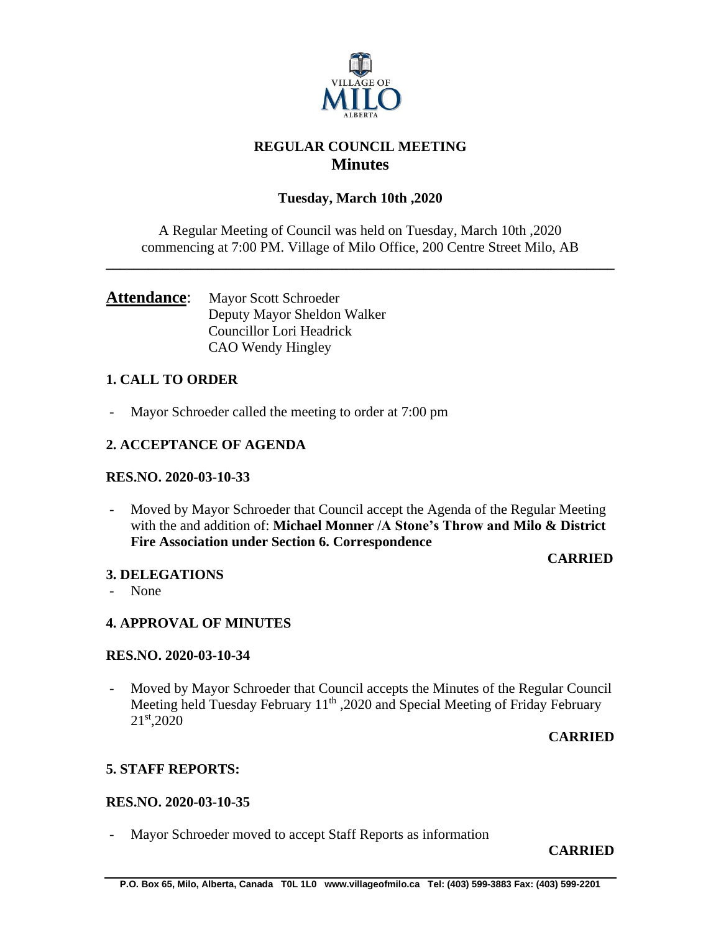

# **REGULAR COUNCIL MEETING Minutes**

# **Tuesday, March 10th ,2020**

A Regular Meeting of Council was held on Tuesday, March 10th ,2020 commencing at 7:00 PM. Village of Milo Office, 200 Centre Street Milo, AB

**\_\_\_\_\_\_\_\_\_\_\_\_\_\_\_\_\_\_\_\_\_\_\_\_\_\_\_\_\_\_\_\_\_\_\_\_\_\_\_\_\_\_\_\_\_\_\_\_\_\_\_\_\_\_\_\_\_\_\_\_\_\_\_\_\_\_\_\_\_\_\_\_**

## Attendance: Mayor Scott Schroeder Deputy Mayor Sheldon Walker Councillor Lori Headrick CAO Wendy Hingley

## **1. CALL TO ORDER**

- Mayor Schroeder called the meeting to order at 7:00 pm

## **2. ACCEPTANCE OF AGENDA**

### **RES.NO. 2020-03-10-33**

- Moved by Mayor Schroeder that Council accept the Agenda of the Regular Meeting with the and addition of: **Michael Monner /A Stone's Throw and Milo & District Fire Association under Section 6. Correspondence**

# **3. DELEGATIONS**

## **CARRIED**

- None

## **4. APPROVAL OF MINUTES**

### **RES.NO. 2020-03-10-34**

- Moved by Mayor Schroeder that Council accepts the Minutes of the Regular Council Meeting held Tuesday February 11<sup>th</sup>, 2020 and Special Meeting of Friday February 21st,2020

### **CARRIED**

## **5. STAFF REPORTS:**

### **RES.NO. 2020-03-10-35**

- Mayor Schroeder moved to accept Staff Reports as information

### **CARRIED**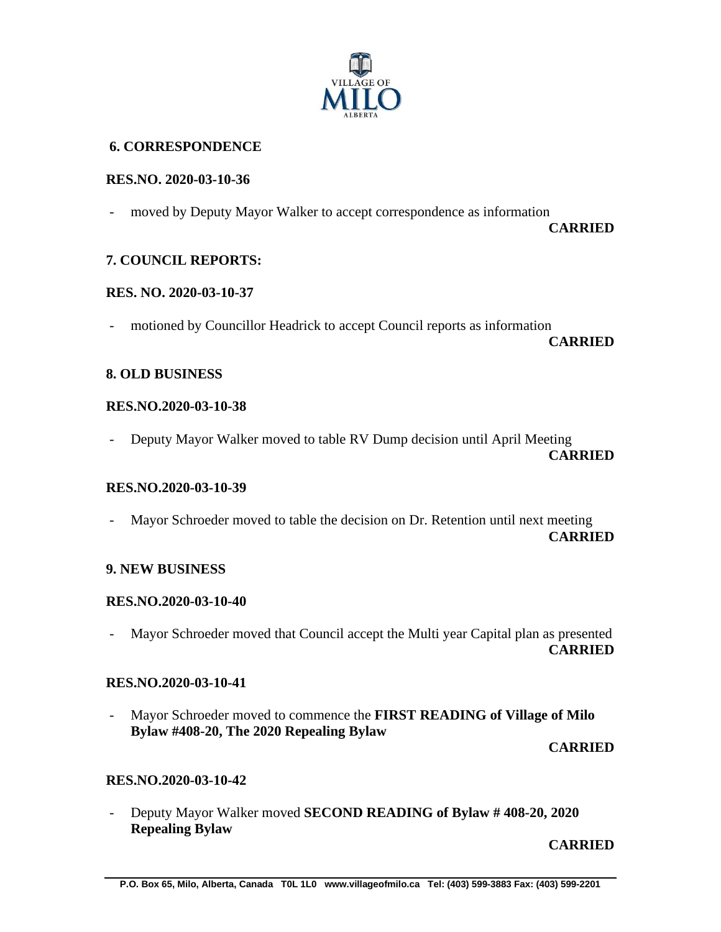

## **6. CORRESPONDENCE**

#### **RES.NO. 2020-03-10-36**

- moved by Deputy Mayor Walker to accept correspondence as information

 **CARRIED**

## **7. COUNCIL REPORTS:**

### **RES. NO. 2020-03-10-37**

- motioned by Councillor Headrick to accept Council reports as information

**CARRIED**

#### **8. OLD BUSINESS**

#### **RES.NO.2020-03-10-38**

- Deputy Mayor Walker moved to table RV Dump decision until April Meeting **CARRIED**

#### **RES.NO.2020-03-10-39**

Mayor Schroeder moved to table the decision on Dr. Retention until next meeting **CARRIED**

### **9. NEW BUSINESS**

### **RES.NO.2020-03-10-40**

- Mayor Schroeder moved that Council accept the Multi year Capital plan as presented **CARRIED**

## **RES.NO.2020-03-10-41**

- Mayor Schroeder moved to commence the **FIRST READING of Village of Milo Bylaw #408-20, The 2020 Repealing Bylaw**

**CARRIED**

### **RES.NO.2020-03-10-42**

- Deputy Mayor Walker moved **SECOND READING of Bylaw # 408-20, 2020 Repealing Bylaw**

**CARRIED**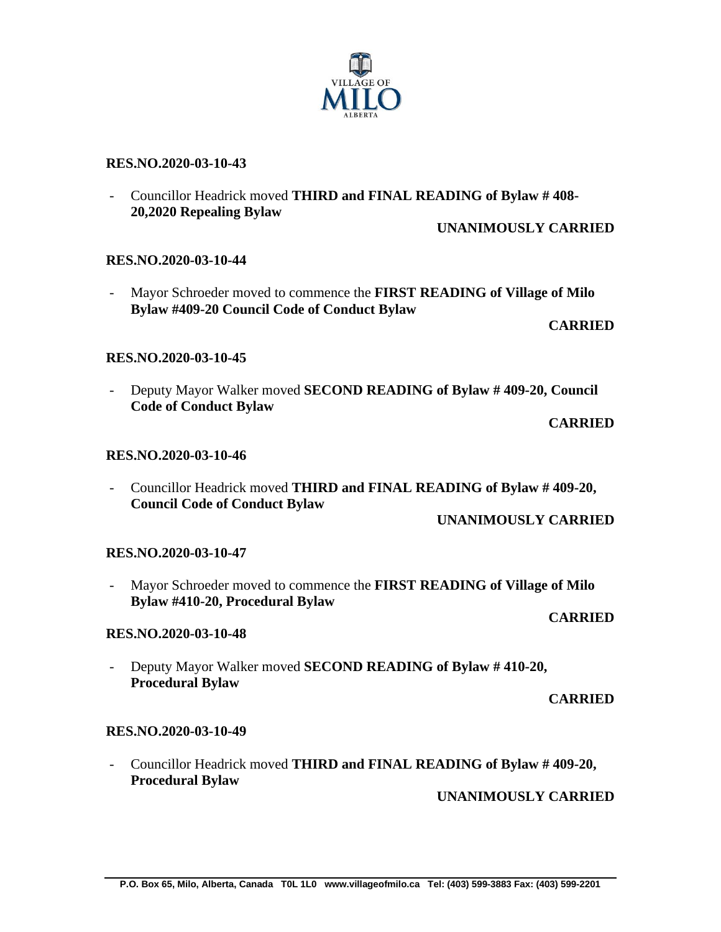# **RES.NO.2020-03-10-43**

- Councillor Headrick moved **THIRD and FINAL READING of Bylaw # 408- 20,2020 Repealing Bylaw**

**UNANIMOUSLY CARRIED**

# **RES.NO.2020-03-10-44**

- Mayor Schroeder moved to commence the **FIRST READING of Village of Milo Bylaw #409-20 Council Code of Conduct Bylaw**

**CARRIED**

# **RES.NO.2020-03-10-45**

- Deputy Mayor Walker moved **SECOND READING of Bylaw # 409-20, Council Code of Conduct Bylaw**

**CARRIED**

# **RES.NO.2020-03-10-46**

- Councillor Headrick moved **THIRD and FINAL READING of Bylaw # 409-20, Council Code of Conduct Bylaw**

**UNANIMOUSLY CARRIED**

# **RES.NO.2020-03-10-47**

- Mayor Schroeder moved to commence the **FIRST READING of Village of Milo Bylaw #410-20, Procedural Bylaw CARRIED**

# **RES.NO.2020-03-10-48**

- Deputy Mayor Walker moved **SECOND READING of Bylaw # 410-20, Procedural Bylaw** 

**CARRIED**

# **RES.NO.2020-03-10-49**

- Councillor Headrick moved **THIRD and FINAL READING of Bylaw # 409-20, Procedural Bylaw**

**UNANIMOUSLY CARRIED**